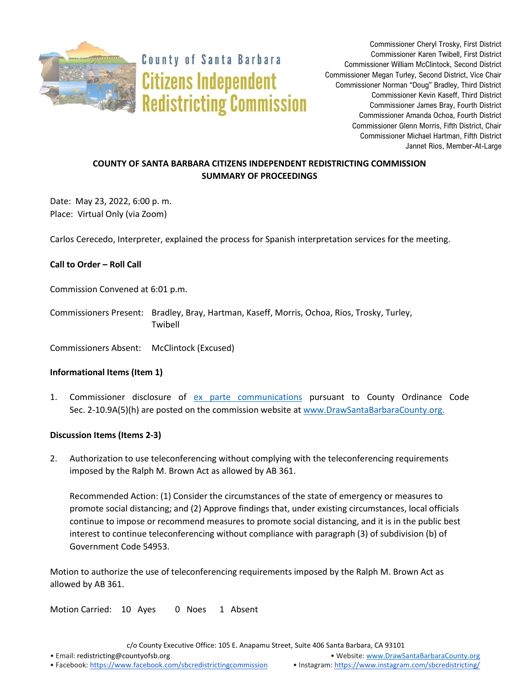

**County of Santa Barbara Citizens Independent Redistricting Commission** 

Commissioner Cheryl Trosky, First District Commissioner Karen Twibell, First District Commissioner William McClintock, Second District Commissioner Megan Turley, Second District, Vice Chair Commissioner Norman "Doug" Bradley, Third District Commissioner Kevin Kaseff, Third District Commissioner James Bray, Fourth District Commissioner Amanda Ochoa, Fourth District Commissioner Glenn Morris, Fifth District, Chair Commissioner Michael Hartman, Fifth District Jannet Rios, Member-At-Large

# **COUNTY OF SANTA BARBARA CITIZENS INDEPENDENT REDISTRICTING COMMISSION SUMMARY OF PROCEEDINGS**

Date: May 23, 2022, 6:00 p. m. Place: Virtual Only (via Zoom)

Carlos Cerecedo, Interpreter, explained the process for Spanish interpretation services for the meeting.

## **Call to Order – Roll Call**

Commission Convened at 6:01 p.m.

Commissioners Present: Bradley, Bray, Hartman, Kaseff, Morris, Ochoa, Rios, Trosky, Turley, Twibell

Commissioners Absent: McClintock (Excused)

### **Informational Items (Item 1)**

1. Commissioner disclosure of [ex parte communications](https://docs.google.com/spreadsheets/d/1zGO1NmeO_y9ohV2vMMFAtu6b3rVpIXViVtRool9dmBg/edit?usp=drive_web) pursuant to County Ordinance Code Sec. 2-10.9A(5)(h) are posted on the commission website at [www.DrawSantaBarbaraCounty.org.](https://drawsantabarbaracounty.org/)

### **Discussion Items (Items 2-3)**

2. Authorization to use teleconferencing without complying with the teleconferencing requirements imposed by the Ralph M. Brown Act as allowed by AB 361.

Recommended Action: (1) Consider the circumstances of the state of emergency or measures to promote social distancing; and (2) Approve findings that, under existing circumstances, local officials continue to impose or recommend measures to promote social distancing, and it is in the public best interest to continue teleconferencing without compliance with paragraph (3) of subdivision (b) of Government Code 54953.

Motion to authorize the use of teleconferencing requirements imposed by the Ralph M. Brown Act as allowed by AB 361.

Motion Carried: 10 Ayes 0 Noes 1 Absent

c/o County Executive Office: 105 E. Anapamu Street, Suite 406 Santa Barbara, CA 93101

• Email[: redistricting@countyofsb.org](mailto:redistricting@countyofsb.org) • Website: [www.DrawSantaBarbaraCounty.org](http://www.drawsantabarbaracounty.org/)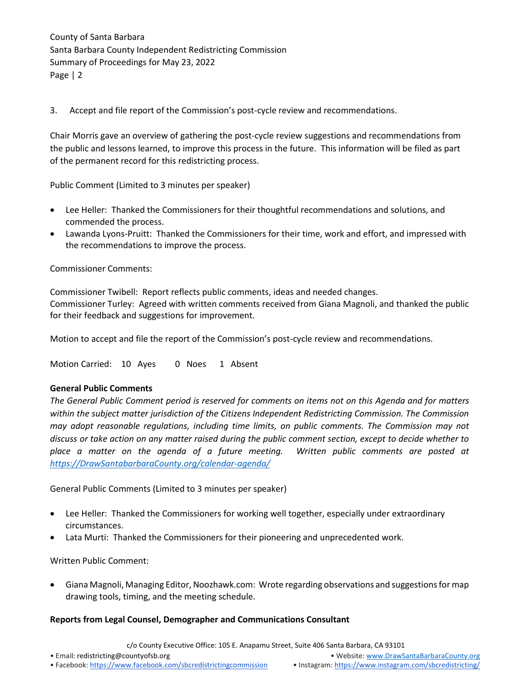County of Santa Barbara Santa Barbara County Independent Redistricting Commission Summary of Proceedings for May 23, 2022 Page | 2

3. Accept and file report of the Commission's post-cycle review and recommendations.

Chair Morris gave an overview of gathering the post-cycle review suggestions and recommendations from the public and lessons learned, to improve this process in the future. This information will be filed as part of the permanent record for this redistricting process.

Public Comment (Limited to 3 minutes per speaker)

- Lee Heller: Thanked the Commissioners for their thoughtful recommendations and solutions, and commended the process.
- Lawanda Lyons-Pruitt: Thanked the Commissioners for their time, work and effort, and impressed with the recommendations to improve the process.

Commissioner Comments:

Commissioner Twibell: Report reflects public comments, ideas and needed changes. Commissioner Turley: Agreed with written comments received from Giana Magnoli, and thanked the public for their feedback and suggestions for improvement.

Motion to accept and file the report of the Commission's post-cycle review and recommendations.

Motion Carried: 10 Ayes 0 Noes 1 Absent

### **General Public Comments**

*The General Public Comment period is reserved for comments on items not on this Agenda and for matters within the subject matter jurisdiction of the Citizens Independent Redistricting Commission. The Commission may adopt reasonable regulations, including time limits, on public comments. The Commission may not discuss or take action on any matter raised during the public comment section, except to decide whether to place a matter on the agenda of a future meeting. Written public comments are posted at [https://DrawSantabarbaraCounty.org/calendar-agenda/](https://drawsantabarbaracounty.org/calendar-agenda/)*

General Public Comments (Limited to 3 minutes per speaker)

- Lee Heller: Thanked the Commissioners for working well together, especially under extraordinary circumstances.
- Lata Murti: Thanked the Commissioners for their pioneering and unprecedented work.

Written Public Comment:

• Giana Magnoli, Managing Editor, Noozhawk.com: Wrote regarding observations and suggestions for map drawing tools, timing, and the meeting schedule.

### **Reports from Legal Counsel, Demographer and Communications Consultant**

c/o County Executive Office: 105 E. Anapamu Street, Suite 406 Santa Barbara, CA 93101

• Email[: redistricting@countyofsb.org](mailto:redistricting@countyofsb.org) • Website: [www.DrawSantaBarbaraCounty.org](http://www.drawsantabarbaracounty.org/)